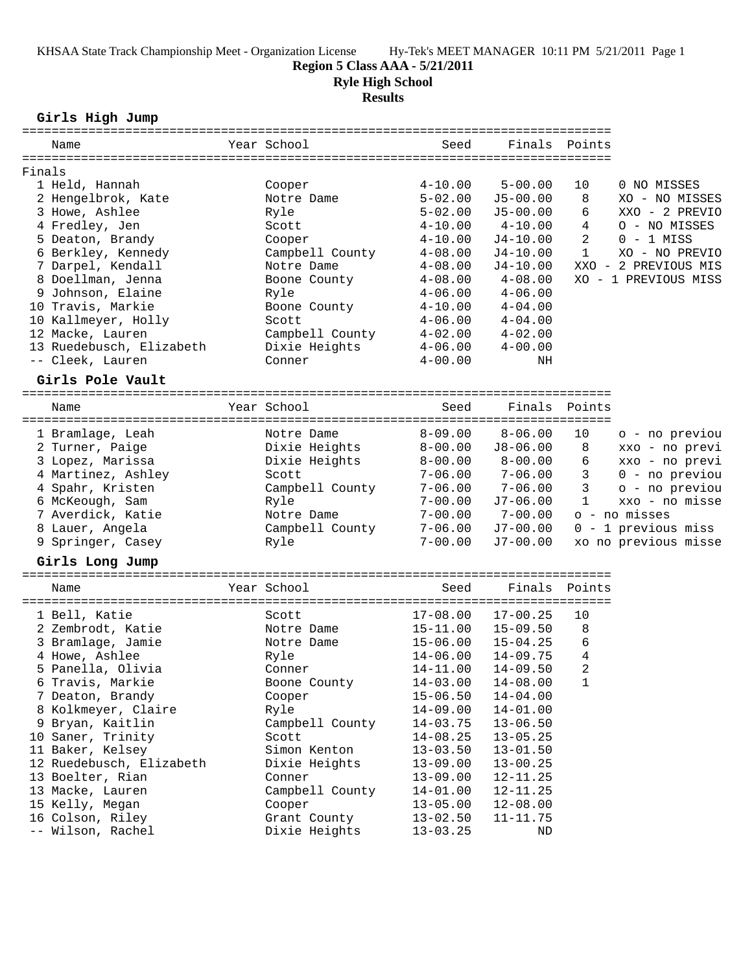KHSAA State Track Championship Meet - Organization License Hy-Tek's MEET MANAGER 10:11 PM 5/21/2011 Page 1

### **Region 5 Class AAA - 5/21/2011**

**Ryle High School**

#### **Results**

**Girls High Jump**

| Name                                            | Year School     | Seed                               | Finals       | Points       |                      |
|-------------------------------------------------|-----------------|------------------------------------|--------------|--------------|----------------------|
| Finals                                          |                 |                                    |              |              |                      |
| 1 Held, Hannah                                  | Cooper          | $4 - 10.00$                        | $5 - 00.00$  | 10           | 0 NO MISSES          |
| 2 Hengelbrok, Kate                              | Notre Dame      | $5 - 02.00$                        | $J5 - 00.00$ | 8            | XO - NO MISSES       |
| 3 Howe, Ashlee                                  | Ryle            | $5 - 02.00$                        | $J5 - 00.00$ | 6            | XXO - 2 PREVIO       |
| 4 Fredley, Jen                                  | Scott           | $4 - 10.00$                        | $4 - 10.00$  | 4            | O - NO MISSES        |
| 5 Deaton, Brandy                                | Cooper          | $4 - 10.00$                        | $J4-10.00$   | 2            | $0 - 1$ MISS         |
| 6 Berkley, Kennedy                              | Campbell County | $4 - 08.00$                        | $J4-10.00$   | $\mathbf{1}$ | XO - NO PREVIO       |
| 7 Darpel, Kendall                               | Notre Dame      | $4 - 08.00$                        | $J4-10.00$   |              | XXO - 2 PREVIOUS MIS |
| 8 Doellman, Jenna                               | Boone County    | $4 - 08.00$                        | $4 - 08.00$  |              | XO - 1 PREVIOUS MISS |
| 9 Johnson, Elaine                               | Ryle            | $4 - 06.00$                        | $4 - 06.00$  |              |                      |
| 10 Travis, Markie                               | Boone County    | $4 - 10.00$                        | $4 - 04.00$  |              |                      |
| 10 Kallmeyer, Holly                             | Scott           | $4 - 06.00$                        | $4 - 04.00$  |              |                      |
| 12 Macke, Lauren                                | Campbell County | $4 - 02.00$                        | $4 - 02.00$  |              |                      |
| 13 Ruedebusch, Elizabeth                        | Dixie Heights   | $4 - 06.00$                        | $4 - 00.00$  |              |                      |
| -- Cleek, Lauren                                | Conner          | $4 - 00.00$                        | NH           |              |                      |
|                                                 |                 |                                    |              |              |                      |
| Girls Pole Vault<br>=========================== |                 |                                    |              |              |                      |
| Name                                            | Year School     | Seed                               | Finals       | Points       |                      |
| 1 Bramlage, Leah                                | Notre Dame      | $8 - 09.00$                        | $8 - 06.00$  | 10           | o - no previou       |
| 2 Turner, Paige                                 | Dixie Heights   | $8 - 00.00$                        | $J8 - 06.00$ | 8            | xxo - no previ       |
| 3 Lopez, Marissa                                | Dixie Heights   | $8 - 00.00$                        | $8 - 00.00$  | 6            | xxo - no previ       |
| 4 Martinez, Ashley                              | Scott           | $7 - 06.00$                        | $7 - 06.00$  | 3            | 0 - no previou       |
| 4 Spahr, Kristen                                | Campbell County | $7 - 06.00$                        | $7 - 06.00$  | 3            | o - no previou       |
| 6 McKeough, Sam                                 | Ryle            | $7 - 00.00$                        | $J7-06.00$   | $\mathbf{1}$ | xxo - no misse       |
| 7 Averdick, Katie                               | Notre Dame      | $7 - 00.00$                        | $7 - 00.00$  |              | o - no misses        |
| 8 Lauer, Angela                                 | Campbell County | $7 - 06.00$                        | $J7-00.00$   |              | 0 - 1 previous miss  |
| 9 Springer, Casey                               | Ryle            | $7 - 00.00$                        | $J7 - 00.00$ |              | xo no previous misse |
|                                                 |                 |                                    |              |              |                      |
| Girls Long Jump                                 |                 |                                    |              |              |                      |
| Name                                            | Year School     | Seed                               | Finals       | Points       |                      |
|                                                 |                 | ================================== |              |              |                      |
| 1 Bell, Katie                                   | Scott           | $17 - 08.00$                       | $17 - 00.25$ | 10           |                      |
| 2 Zembrodt, Katie                               | Notre Dame      | $15 - 11.00$                       | $15 - 09.50$ | 8            |                      |
| 3 Bramlage, Jamie                               | Notre Dame      | $15 - 06.00$                       | $15 - 04.25$ | 6            |                      |
| 4 Howe, Ashlee                                  | Ryle            | $14 - 06.00$                       | $14 - 09.75$ | 4            |                      |
| 5 Panella, Olivia                               | Conner          | 14-11.00                           | $14 - 09.50$ | 2            |                      |
| 6 Travis, Markie                                | Boone County    | $14 - 03.00$                       | $14 - 08.00$ | 1            |                      |
| 7 Deaton, Brandy                                | Cooper          | $15 - 06.50$                       | $14 - 04.00$ |              |                      |
| 8 Kolkmeyer, Claire                             | Ryle            | $14 - 09.00$                       | $14 - 01.00$ |              |                      |
| 9 Bryan, Kaitlin                                | Campbell County | $14 - 03.75$                       | $13 - 06.50$ |              |                      |
| 10 Saner, Trinity                               | Scott           | $14 - 08.25$                       | $13 - 05.25$ |              |                      |
| 11 Baker, Kelsey                                | Simon Kenton    | $13 - 03.50$                       | $13 - 01.50$ |              |                      |
| 12 Ruedebusch, Elizabeth                        | Dixie Heights   | $13 - 09.00$                       | $13 - 00.25$ |              |                      |
| 13 Boelter, Rian                                | Conner          | $13 - 09.00$                       | $12 - 11.25$ |              |                      |
| 13 Macke, Lauren                                | Campbell County | $14 - 01.00$                       | $12 - 11.25$ |              |                      |
| 15 Kelly, Megan                                 | Cooper          | $13 - 05.00$                       | $12 - 08.00$ |              |                      |
| 16 Colson, Riley                                | Grant County    | $13 - 02.50$                       | $11 - 11.75$ |              |                      |
| -- Wilson, Rachel                               | Dixie Heights   | $13 - 03.25$                       | $\rm ND$     |              |                      |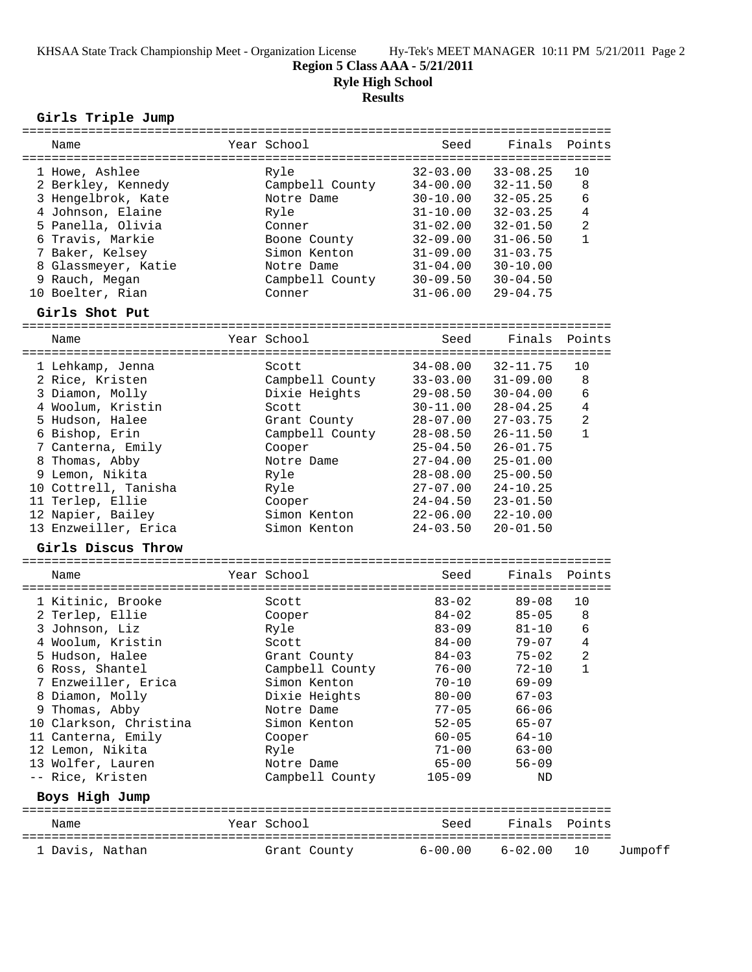# **Region 5 Class AAA - 5/21/2011**

**Ryle High School**

**Results**

### **Girls Triple Jump**

| Name                   | ================<br>Year School | ==================================<br>Seed | Finals       | Points             |         |
|------------------------|---------------------------------|--------------------------------------------|--------------|--------------------|---------|
| 1 Howe, Ashlee         | Ryle                            | $32 - 03.00$                               | $33 - 08.25$ | 10                 |         |
| 2 Berkley, Kennedy     | Campbell County                 | $34 - 00.00$                               | $32 - 11.50$ | 8                  |         |
| 3 Hengelbrok, Kate     | Notre Dame                      | $30 - 10.00$                               | $32 - 05.25$ | 6                  |         |
| 4 Johnson, Elaine      | Ryle                            | $31 - 10.00$                               | $32 - 03.25$ | 4                  |         |
| 5 Panella, Olivia      | Conner                          | $31 - 02.00$                               | $32 - 01.50$ | 2                  |         |
| 6 Travis, Markie       | Boone County                    | $32 - 09.00$                               | $31 - 06.50$ | $\mathbf{1}$       |         |
| 7 Baker, Kelsey        | Simon Kenton                    | $31 - 09.00$                               | $31 - 03.75$ |                    |         |
| 8 Glassmeyer, Katie    | Notre Dame                      | $31 - 04.00$                               | $30 - 10.00$ |                    |         |
| 9 Rauch, Megan         | Campbell County                 | $30 - 09.50$                               | $30 - 04.50$ |                    |         |
| 10 Boelter, Rian       | Conner                          | $31 - 06.00$                               | $29 - 04.75$ |                    |         |
| Girls Shot Put         |                                 |                                            |              |                    |         |
|                        | Year School                     | Seed                                       | Finals       | Points             |         |
| Name                   |                                 |                                            |              |                    |         |
| 1 Lehkamp, Jenna       | Scott                           | $34 - 08.00$                               | 32-11.75     | 10                 |         |
| 2 Rice, Kristen        | Campbell County                 | $33 - 03.00$                               | $31 - 09.00$ | 8                  |         |
| 3 Diamon, Molly        | Dixie Heights                   | $29 - 08.50$                               | $30 - 04.00$ | 6                  |         |
| 4 Woolum, Kristin      | Scott                           | $30 - 11.00$                               | $28 - 04.25$ | $\overline{4}$     |         |
| 5 Hudson, Halee        | Grant County                    | $28 - 07.00$                               | $27 - 03.75$ | 2                  |         |
| 6 Bishop, Erin         | Campbell County                 | $28 - 08.50$                               | $26 - 11.50$ | $\mathbf{1}$       |         |
| 7 Canterna, Emily      | Cooper                          | $25 - 04.50$                               | $26 - 01.75$ |                    |         |
| 8 Thomas, Abby         | Notre Dame                      | $27 - 04.00$                               | $25 - 01.00$ |                    |         |
| 9 Lemon, Nikita        | Ryle                            | $28 - 08.00$                               | $25 - 00.50$ |                    |         |
| 10 Cottrell, Tanisha   | Ryle                            | $27 - 07.00$                               | $24 - 10.25$ |                    |         |
| 11 Terlep, Ellie       | Cooper                          | $24 - 04.50$                               | $23 - 01.50$ |                    |         |
| 12 Napier, Bailey      | Simon Kenton                    | $22 - 06.00$                               | $22 - 10.00$ |                    |         |
| 13 Enzweiller, Erica   | Simon Kenton                    | $24 - 03.50$                               | $20 - 01.50$ |                    |         |
| Girls Discus Throw     |                                 |                                            |              |                    |         |
|                        | Year School                     |                                            | Finals       |                    |         |
| Name                   |                                 | Seed                                       |              | Points             |         |
| 1 Kitinic, Brooke      | Scott                           | $83 - 02$                                  | $89 - 08$    | 10                 |         |
| 2 Terlep, Ellie        | Cooper                          | $84 - 02$                                  | $85 - 05$    | 8                  |         |
| 3 Johnson, Liz         | Ryle                            | $83 - 09$                                  | $81 - 10$    | 6                  |         |
| 4 Woolum, Kristin      | Scott                           | 84-00                                      | 79-07        | $\overline{4}$     |         |
| 5 Hudson, Halee        | Grant County                    | $84 - 03$                                  | 75-02        | 2                  |         |
| 6 Ross, Shantel        | Campbell County                 | $76 - 00$                                  | $72 - 10$    | $\mathbf{1}$       |         |
| 7 Enzweiller, Erica    | Simon Kenton                    | $70 - 10$                                  | $69 - 09$    |                    |         |
| 8 Diamon, Molly        | Dixie Heights                   | $80 - 00$                                  | 67-03        |                    |         |
| 9 Thomas, Abby         | Notre Dame                      | $77 - 05$                                  | $66 - 06$    |                    |         |
| 10 Clarkson, Christina | Simon Kenton                    | $52 - 05$                                  | $65 - 07$    |                    |         |
| 11 Canterna, Emily     | Cooper                          | $60 - 05$                                  | $64 - 10$    |                    |         |
| 12 Lemon, Nikita       | Ryle                            | $71 - 00$                                  | $63 - 00$    |                    |         |
| 13 Wolfer, Lauren      | Notre Dame                      | $65 - 00$                                  | $56 - 09$    |                    |         |
| -- Rice, Kristen       | Campbell County                 | $105 - 09$                                 | ND           |                    |         |
| Boys High Jump         |                                 |                                            |              |                    |         |
| Name                   | Year School                     | Seed                                       | Finals       | Points             |         |
| 1 Davis, Nathan        | Grant County                    | $6 - 00.00$                                | $6 - 02.00$  | ============<br>10 | Jumpoff |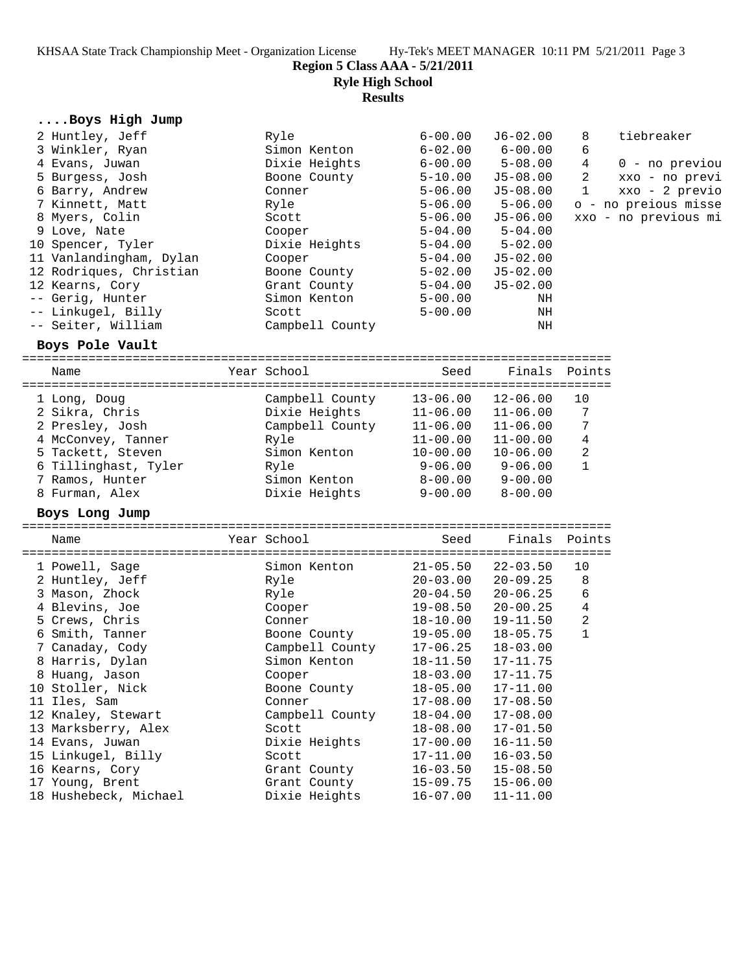KHSAA State Track Championship Meet - Organization License Hy-Tek's MEET MANAGER 10:11 PM 5/21/2011 Page 3

**Region 5 Class AAA - 5/21/2011**

**Ryle High School**

**Results**

| Boys High Jump                    |                        |                              |                              |                |                      |
|-----------------------------------|------------------------|------------------------------|------------------------------|----------------|----------------------|
| 2 Huntley, Jeff                   | Ryle                   | $6 - 00.00$                  | $J6 - 02.00$                 | 8              | tiebreaker           |
| 3 Winkler, Ryan                   | Simon Kenton           | $6 - 02.00$                  | $6 - 00.00$                  | 6              |                      |
| 4 Evans, Juwan                    | Dixie Heights          | $6 - 00.00$                  | $5 - 08.00$                  | 4              | $0$ - no previou     |
| 5 Burgess, Josh                   | Boone County           | $5 - 10.00$                  | $J5-08.00$                   | $\overline{2}$ | xxo - no previ       |
| 6 Barry, Andrew                   | Conner                 | $5 - 06.00$                  | $J5-08.00$                   | $\mathbf 1$    | xxo - 2 previo       |
| 7 Kinnett, Matt                   | Ryle                   | $5 - 06.00$                  | $5 - 06.00$                  |                | o - no preious misse |
| 8 Myers, Colin                    | Scott                  | $5 - 06.00$                  | $J5-06.00$                   |                | xxo - no previous mi |
| 9 Love, Nate                      | Cooper                 | $5 - 04.00$                  | $5 - 04.00$                  |                |                      |
| 10 Spencer, Tyler                 | Dixie Heights          | $5 - 04.00$                  | $5 - 02.00$                  |                |                      |
| 11 Vanlandingham, Dylan           | Cooper                 | $5 - 04.00$                  | $J5-02.00$                   |                |                      |
| 12 Rodriques, Christian           | Boone County           | $5 - 02.00$                  | $J5 - 02.00$                 |                |                      |
| 12 Kearns, Cory                   | Grant County           | $5 - 04.00$                  | $J5 - 02.00$                 |                |                      |
| -- Gerig, Hunter                  | Simon Kenton           | $5 - 00.00$                  | ΝH                           |                |                      |
| -- Linkugel, Billy                | Scott                  | $5 - 00.00$                  | NH                           |                |                      |
| -- Seiter, William                | Campbell County        |                              | ΝH                           |                |                      |
|                                   |                        |                              |                              |                |                      |
| Boys Pole Vault                   |                        |                              |                              |                |                      |
| Name                              | Year School            | Seed                         | Finals                       | Points         |                      |
|                                   |                        |                              |                              |                |                      |
| 1 Long, Doug                      | Campbell County        | $13 - 06.00$                 | $12 - 06.00$                 | 10             |                      |
| 2 Sikra, Chris                    | Dixie Heights          | $11 - 06.00$                 | $11 - 06.00$                 | 7              |                      |
| 2 Presley, Josh                   | Campbell County        | $11 - 06.00$                 | $11 - 06.00$                 | 7              |                      |
| 4 McConvey, Tanner                | Ryle                   | $11 - 00.00$                 | $11 - 00.00$                 | 4              |                      |
| 5 Tackett, Steven                 | Simon Kenton           | $10 - 00.00$                 | $10 - 06.00$                 | 2              |                      |
| 6 Tillinghast, Tyler              | Ryle                   | $9 - 06.00$                  | 9-06.00                      | $\mathbf{1}$   |                      |
| 7 Ramos, Hunter                   | Simon Kenton           | 8-00.00                      | $9 - 00.00$                  |                |                      |
| 8 Furman, Alex                    | Dixie Heights          | $9 - 00.00$                  | $8 - 00.00$                  |                |                      |
| Boys Long Jump                    |                        |                              |                              |                |                      |
|                                   |                        |                              |                              |                |                      |
| Name                              | Year School            | Seed                         | Finals                       | Points         |                      |
| 1 Powell, Sage                    |                        | $21 - 05.50$                 | $22 - 03.50$                 | 10             |                      |
|                                   |                        |                              |                              |                |                      |
|                                   | Simon Kenton           |                              |                              |                |                      |
| 2 Huntley, Jeff                   | Ryle                   | $20 - 03.00$                 | $20 - 09.25$<br>$20 - 06.25$ | 8              |                      |
| 3 Mason, Zhock                    | Ryle                   | $20 - 04.50$                 |                              | 6              |                      |
| 4 Blevins, Joe                    | Cooper                 | $19 - 08.50$                 | $20 - 00.25$                 | 4<br>2         |                      |
| 5 Crews, Chris<br>6 Smith, Tanner | Conner<br>Boone County | $18 - 10.00$<br>$19 - 05.00$ | 19-11.50<br>$18 - 05.75$     | $\mathbf{1}$   |                      |

 8 Harris, Dylan Simon Kenton 18-11.50 17-11.75 8 Huang, Jason Cooper 18-03.00 17-11.75 10 Stoller, Nick Boone County 18-05.00 17-11.00 11 Iles, Sam Conner 17-08.00 17-08.50 12 Knaley, Stewart Campbell County 18-04.00 17-08.00 13 Marksberry, Alex Scott 18-08.00 17-01.50 14 Evans, Juwan Dixie Heights 17-00.00 16-11.50 15 Linkugel, Billy Scott 17-11.00 16-03.50 16 Kearns, Cory Grant County 16-03.50 15-08.50 17 Young, Brent Grant County 15-09.75 15-06.00 18 Hushebeck, Michael Dixie Heights 16-07.00 11-11.00